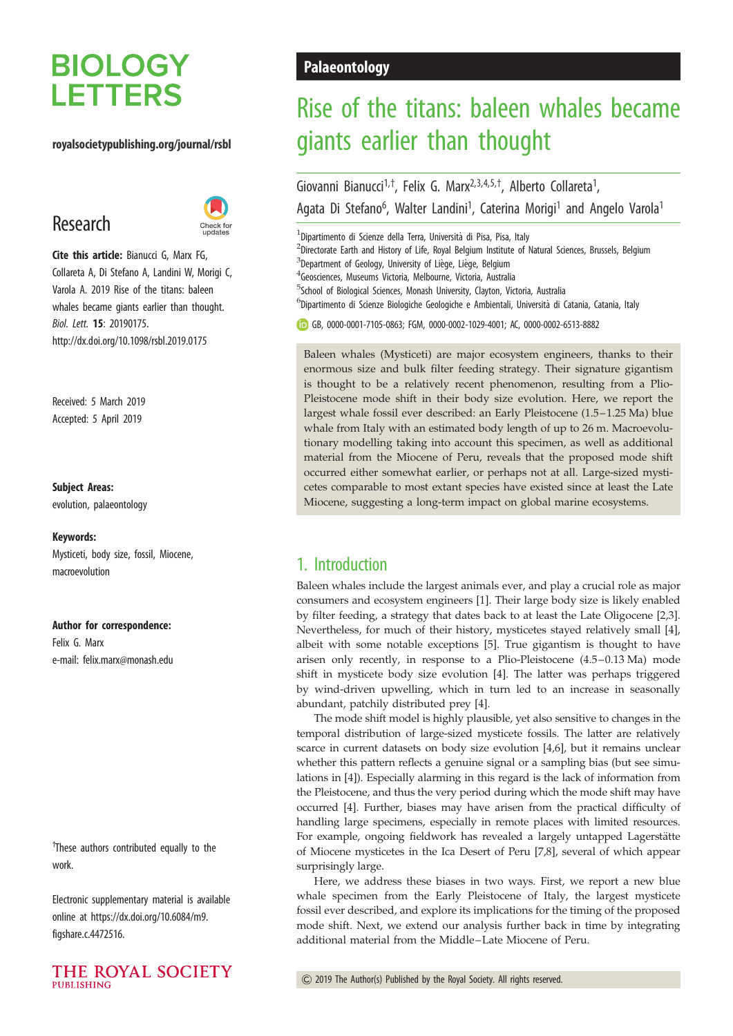# **BIOLOGY LETTERS**

#### royalsocietypublishing.org/journal/rsbl

## Research



Cite this article: Bianucci G, Marx FG, Collareta A, Di Stefano A, Landini W, Morigi C, Varola A. 2019 Rise of the titans: baleen whales became giants earlier than thought. Biol. Lett. 15: 20190175. http://dx.doi.org/10.1098/rsbl.2019.0175

Received: 5 March 2019 Accepted: 5 April 2019

#### Subject Areas:

evolution, palaeontology

#### Keywords:

Mysticeti, body size, fossil, Miocene, macroevolution

#### Author for correspondence:

Felix G. Marx e-mail: [felix.marx@monash.edu](mailto:felix.marx@monash.edu)

<sup>†</sup>These authors contributed equally to the work.

Electronic supplementary material is available online at [https://dx.doi.org/10.6084/m9.](https://dx.doi.org/10.6084/m9.figshare.c.4472516) [figshare.c.4472516](https://dx.doi.org/10.6084/m9.figshare.c.4472516).



## Palaeontology

## Rise of the titans: baleen whales became giants earlier than thought

Giovanni Bianucci<sup>1,†</sup>, Felix G. Marx<sup>2,3,4,5,†</sup>, Alberto Collareta<sup>1</sup>, , Agata Di Stefano<sup>6</sup>, Walter Landini<sup>1</sup>, Caterina Morigi<sup>1</sup> and Angelo Varola<sup>1</sup>

<sup>1</sup> Dipartimento di Scienze della Terra, Università di Pisa, Pisa, Italy

<sup>2</sup>Directorate Earth and History of Life, Royal Belgium Institute of Natural Sciences, Brussels, Belgium

 $3$ Department of Geology, University of Liège, Liège, Belgium

4 Geosciences, Museums Victoria, Melbourne, Victoria, Australia

<sup>5</sup>School of Biological Sciences, Monash University, Clayton, Victoria, Australia

<sup>6</sup>Dipartimento di Scienze Biologiche Geologiche e Ambientali, Università di Catania, Catania, Italy

GB, [0000-0001-7105-0863](http://orcid.org/0000-0001-7105-0863); FGM, [0000-0002-1029-4001;](http://orcid.org/0000-0002-1029-4001) AC, [0000-0002-6513-8882](http://orcid.org/0000-0002-6513-8882)

Baleen whales (Mysticeti) are major ecosystem engineers, thanks to their enormous size and bulk filter feeding strategy. Their signature gigantism is thought to be a relatively recent phenomenon, resulting from a Plio-Pleistocene mode shift in their body size evolution. Here, we report the largest whale fossil ever described: an Early Pleistocene (1.5–1.25 Ma) blue whale from Italy with an estimated body length of up to 26 m. Macroevolutionary modelling taking into account this specimen, as well as additional material from the Miocene of Peru, reveals that the proposed mode shift occurred either somewhat earlier, or perhaps not at all. Large-sized mysticetes comparable to most extant species have existed since at least the Late Miocene, suggesting a long-term impact on global marine ecosystems.

## 1. Introduction

Baleen whales include the largest animals ever, and play a crucial role as major consumers and ecosystem engineers [[1](#page-3-0)]. Their large body size is likely enabled by filter feeding, a strategy that dates back to at least the Late Oligocene [\[2,3\]](#page-3-0). Nevertheless, for much of their history, mysticetes stayed relatively small [\[4\]](#page-3-0), albeit with some notable exceptions [\[5\]](#page-3-0). True gigantism is thought to have arisen only recently, in response to a Plio-Pleistocene (4.5-0.13 Ma) mode shift in mysticete body size evolution [[4](#page-3-0)]. The latter was perhaps triggered by wind-driven upwelling, which in turn led to an increase in seasonally abundant, patchily distributed prey [[4](#page-3-0)].

The mode shift model is highly plausible, yet also sensitive to changes in the temporal distribution of large-sized mysticete fossils. The latter are relatively scarce in current datasets on body size evolution [\[4,6](#page-3-0)], but it remains unclear whether this pattern reflects a genuine signal or a sampling bias (but see simulations in [[4](#page-3-0)]). Especially alarming in this regard is the lack of information from the Pleistocene, and thus the very period during which the mode shift may have occurred [\[4](#page-3-0)]. Further, biases may have arisen from the practical difficulty of handling large specimens, especially in remote places with limited resources. For example, ongoing fieldwork has revealed a largely untapped Lagerstätte of Miocene mysticetes in the Ica Desert of Peru [\[7,](#page-3-0)[8](#page-4-0)], several of which appear surprisingly large.

Here, we address these biases in two ways. First, we report a new blue whale specimen from the Early Pleistocene of Italy, the largest mysticete fossil ever described, and explore its implications for the timing of the proposed mode shift. Next, we extend our analysis further back in time by integrating additional material from the Middle –Late Miocene of Peru.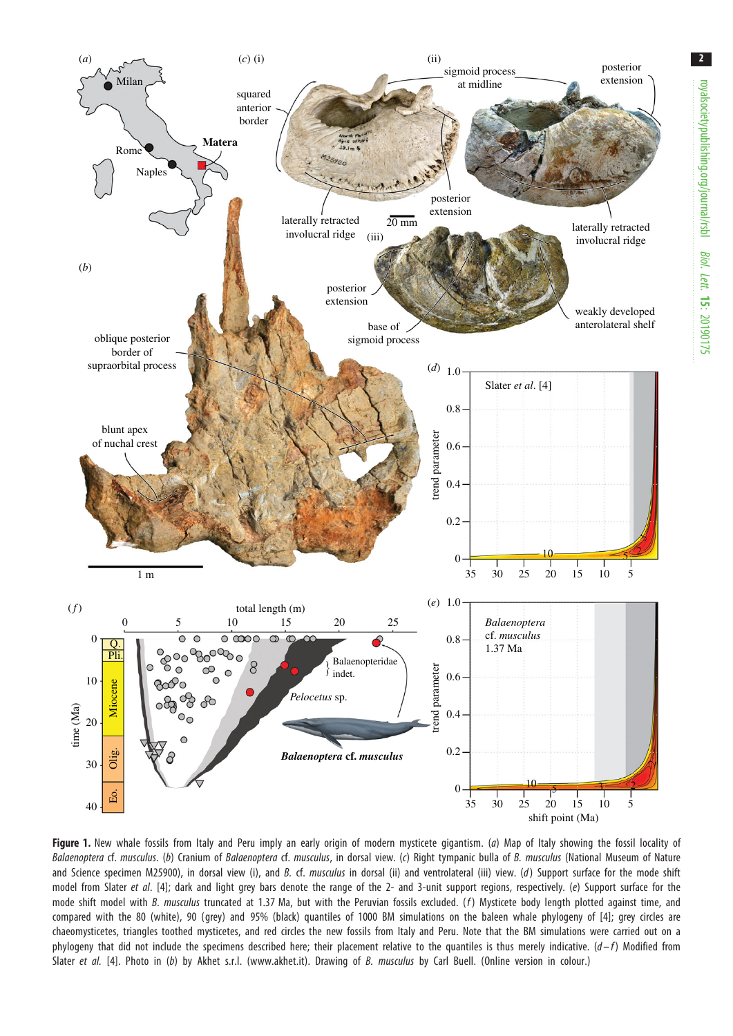<span id="page-1-0"></span>

Figure 1. New whale fossils from Italy and Peru imply an early origin of modern mysticete gigantism. (a) Map of Italy showing the fossil locality of Balaenoptera cf. musculus. (b) Cranium of Balaenoptera cf. musculus, in dorsal view. (c) Right tympanic bulla of B. musculus (National Museum of Nature and Science specimen M25900), in dorsal view (i), and B. cf. musculus in dorsal (ii) and ventrolateral (iii) view. (d) Support surface for the mode shift model from Slater et al. [[4](#page-3-0)]; dark and light grey bars denote the range of the 2- and 3-unit support regions, respectively. (e) Support surface for the mode shift model with B. musculus truncated at 1.37 Ma, but with the Peruvian fossils excluded. (f) Mysticete body length plotted against time, and compared with the 80 (white), 90 (grey) and 95% (black) quantiles of 1000 BM simulations on the baleen whale phylogeny of [[4\]](#page-3-0); grey circles are chaeomysticetes, triangles toothed mysticetes, and red circles the new fossils from Italy and Peru. Note that the BM simulations were carried out on a phylogeny that did not include the specimens described here; their placement relative to the quantiles is thus merely indicative.  $(d-f)$  Modified from Slater et al. [\[4](#page-3-0)]. Photo in (b) by Akhet s.r.l. [\(www.akhet.it](http://www.akhet.it)). Drawing of B. musculus by Carl Buell. (Online version in colour.)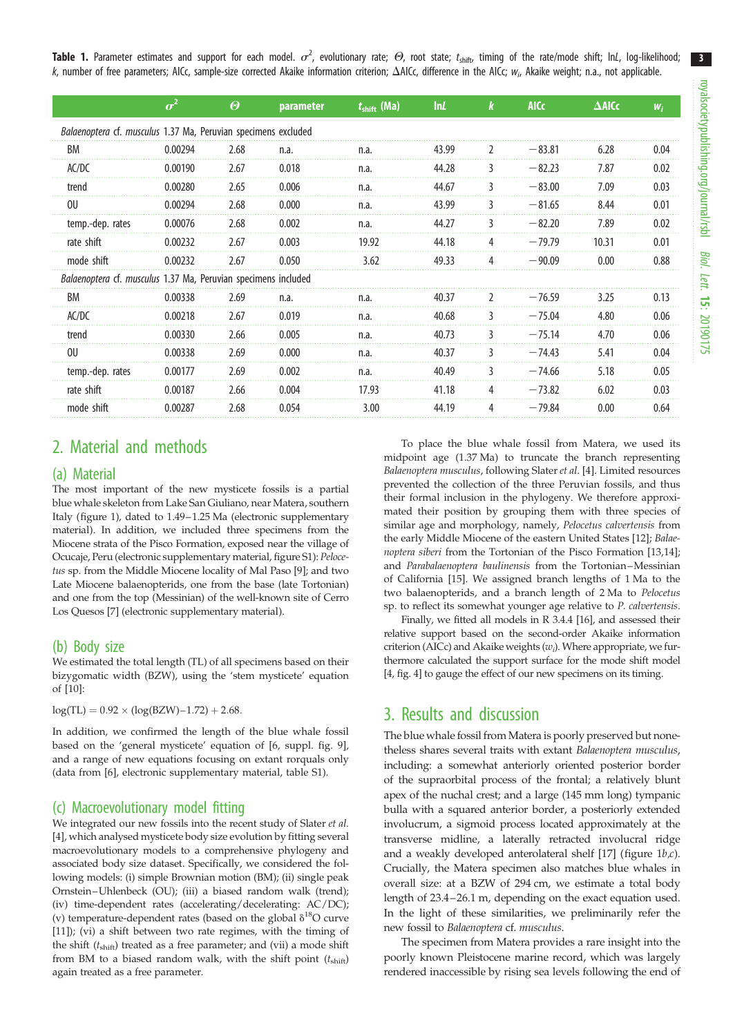3

<span id="page-2-0"></span>**Table 1.** Parameter estimates and support for each model.  $\sigma^2$ , evolutionary rate;  $\Theta$ , root state;  $t_{\sf shift}$  timing of the rate/mode shift; ln*L*, log-likelihood; k, number of free parameters; AICc, sample-size corrected Akaike information criterion;  $\Delta$ AICc, difference in the AICc;  $w_{i\prime}$  Akaike weight; n.a., not applicable.

|                                                                | $\sigma^2$ | $\boldsymbol{\theta}$ | parameter | $\overline{t_{\text{shift}}}$ (Ma) | <b>InL</b> | k | <b>AICc</b> | $\Delta$ AICc | $W_i$ |
|----------------------------------------------------------------|------------|-----------------------|-----------|------------------------------------|------------|---|-------------|---------------|-------|
| Balaenoptera cf. musculus 1.37 Ma, Peruvian specimens excluded |            |                       |           |                                    |            |   |             |               |       |
| BM                                                             | 0.00294    | 2.68                  | n.a.      | n.a.                               | 43.99      |   | $-83.81$    | 6.28          | 0.04  |
| AC/DC                                                          | 0.00190    | 2.67                  | 0.018     | n.a.                               | 44.28      |   | $-82.23$    | 7.87          | 0.02  |
| trend                                                          | 0.00280    | 2.65                  | 0.006     | n.a.                               | 44.67      |   | $-83.00$    | 7.09          | 0.03  |
| 0U                                                             | 0.00294    | 2.68                  | 0.000     | n.a.                               | 43.99      | 3 | $-81.65$    | 8.44          | 0.01  |
| temp.-dep. rates                                               | 0.00076    | 2.68                  | 0.002     | n.a.                               | 44.27      | 3 | $-82.20$    | 7.89          | 0.02  |
| rate shift                                                     | 0.00232    | 2.67                  | 0.003     | 19.92                              | 44.18      | 4 | $-79.79$    | 10.31         | 0.01  |
| mode shift                                                     | 0.00232    | 2.67                  | 0.050     | 3.62                               | 49.33      | 4 | $-90.09$    | 0.00          | 0.88  |
| Balaenoptera cf. musculus 1.37 Ma, Peruvian specimens included |            |                       |           |                                    |            |   |             |               |       |
| BM                                                             | 0.00338    | 2.69                  | n.a.      | n.a.                               | 40.37      |   | $-76.59$    | 3.25          | 0.13  |
| AC/DC                                                          | 0.00218    | 2.67                  | 0.019     | n.a.                               | 40.68      |   | $-75.04$    | 4.80          | 0.06  |
| trend                                                          | 0.00330    | 2.66                  | 0.005     | n.a.                               | 40.73      |   | $-75.14$    | 4.70          | 0.06  |
| 0U                                                             | 0.00338    | 2.69                  | 0.000     | n.a.                               | 40.37      | 3 | $-74.43$    | 5.41          | 0.04  |
| temp.-dep. rates                                               | 0.00177    | 2.69                  | 0.002     | n.a.                               | 40.49      | 3 | $-74.66$    | 5.18          | 0.05  |
| rate shift                                                     | 0.00187    | 2.66                  | 0.004     | 17.93                              | 41.18      | 4 | $-73.82$    | 6.02          | 0.03  |
| mode shift                                                     | 0.00287    | 2.68                  | 0.054     | 3.00                               | 44.19      | 4 | $-79.84$    | 0.00          | 0.64  |

## 2. Material and methods

#### (a) Material

The most important of the new mysticete fossils is a partial blue whale skeleton from Lake San Giuliano, near Matera, southern Italy ([figure 1](#page-1-0)), dated to 1.49–1.25 Ma (electronic supplementary material). In addition, we included three specimens from the Miocene strata of the Pisco Formation, exposed near the village of Ocucaje, Peru (electronic supplementary material, figure S1): Pelocetus sp. from the Middle Miocene locality of Mal Paso [\[9\]](#page-4-0); and two Late Miocene balaenopterids, one from the base (late Tortonian) and one from the top (Messinian) of the well-known site of Cerro Los Quesos [[7\]](#page-3-0) (electronic supplementary material).

### (b) Body size

We estimated the total length (TL) of all specimens based on their bizygomatic width (BZW), using the 'stem mysticete' equation of [\[10\]](#page-4-0):

 $log(TL) = 0.92 \times (log(BZW) - 1.72) + 2.68.$ 

In addition, we confirmed the length of the blue whale fossil based on the 'general mysticete' equation of [\[6,](#page-3-0) suppl. fig. 9], and a range of new equations focusing on extant rorquals only (data from [[6\]](#page-3-0), electronic supplementary material, table S1).

### (c) Macroevolutionary model fitting

We integrated our new fossils into the recent study of Slater et al. [\[4](#page-3-0)], which analysed mysticete body size evolution by fitting several macroevolutionary models to a comprehensive phylogeny and associated body size dataset. Specifically, we considered the following models: (i) simple Brownian motion (BM); (ii) single peak Ornstein–Uhlenbeck (OU); (iii) a biased random walk (trend); (iv) time-dependent rates (accelerating/decelerating: AC/DC); (v) temperature-dependent rates (based on the global  $\delta^{18}O$  curve [\[11\]](#page-4-0)); (vi) a shift between two rate regimes, with the timing of the shift  $(t<sub>shift</sub>)$  treated as a free parameter; and (vii) a mode shift from BM to a biased random walk, with the shift point  $(t_{\text{shift}})$ again treated as a free parameter.

To place the blue whale fossil from Matera, we used its midpoint age (1.37 Ma) to truncate the branch representing Balaenoptera musculus, following Slater et al. [[4](#page-3-0)]. Limited resources prevented the collection of the three Peruvian fossils, and thus their formal inclusion in the phylogeny. We therefore approximated their position by grouping them with three species of similar age and morphology, namely, Pelocetus calvertensis from the early Middle Miocene of the eastern United States [\[12\]](#page-4-0); Balaenoptera siberi from the Tortonian of the Pisco Formation [[13,14\]](#page-4-0); and Parabalaenoptera baulinensis from the Tortonian –Messinian of California [[15](#page-4-0)]. We assigned branch lengths of 1 Ma to the two balaenopterids, and a branch length of 2 Ma to Pelocetus sp. to reflect its somewhat younger age relative to P. calvertensis.

Finally, we fitted all models in R 3.4.4 [[16\]](#page-4-0), and assessed their relative support based on the second-order Akaike information criterion (AICc) and Akaike weights  $(w_i)$ . Where appropriate, we furthermore calculated the support surface for the mode shift model [\[4](#page-3-0), fig. 4] to gauge the effect of our new specimens on its timing.

## 3. Results and discussion

The blue whale fossil from Matera is poorly preserved but nonetheless shares several traits with extant Balaenoptera musculus, including: a somewhat anteriorly oriented posterior border of the supraorbital process of the frontal; a relatively blunt apex of the nuchal crest; and a large (145 mm long) tympanic bulla with a squared anterior border, a posteriorly extended involucrum, a sigmoid process located approximately at the transverse midline, a laterally retracted involucral ridge and a weakly developed anterolateral shelf [[17\]](#page-4-0) (figure  $1b.c$ ). Crucially, the Matera specimen also matches blue whales in overall size: at a BZW of 294 cm, we estimate a total body length of 23.4–26.1 m, depending on the exact equation used. In the light of these similarities, we preliminarily refer the new fossil to Balaenoptera cf. musculus.

The specimen from Matera provides a rare insight into the poorly known Pleistocene marine record, which was largely rendered inaccessible by rising sea levels following the end of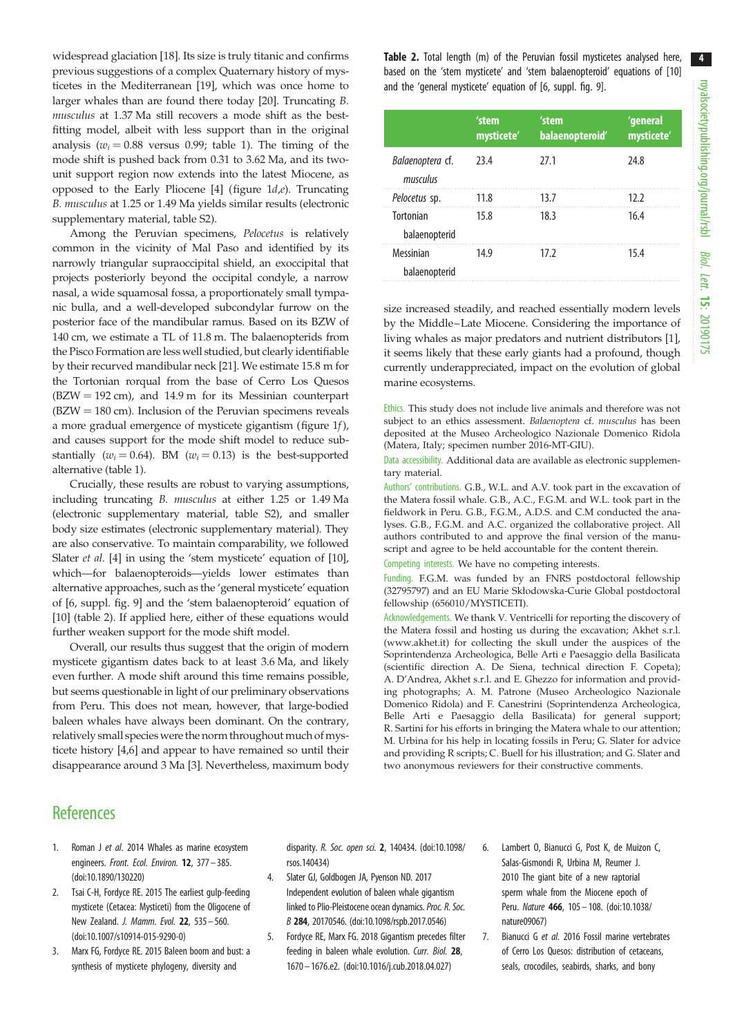<span id="page-3-0"></span>widespread glaciation [[18\]](#page-4-0). Its size is truly titanic and confirms previous suggestions of a complex Quaternary history of mysticetes in the Mediterranean [[19](#page-4-0)], which was once home to larger whales than are found there today [[20\]](#page-4-0). Truncating B. musculus at 1.37 Ma still recovers a mode shift as the bestfitting model, albeit with less support than in the original analysis ( $w_i = 0.88$  versus 0.99; [table 1](#page-2-0)). The timing of the mode shift is pushed back from 0.31 to 3.62 Ma, and its twounit support region now extends into the latest Miocene, as opposed to the Early Pliocene [4] (figure  $1d,e$ ). Truncating B. musculus at 1.25 or 1.49 Ma yields similar results (electronic supplementary material, table S2).

Among the Peruvian specimens, Pelocetus is relatively common in the vicinity of Mal Paso and identified by its narrowly triangular supraoccipital shield, an exoccipital that projects posteriorly beyond the occipital condyle, a narrow nasal, a wide squamosal fossa, a proportionately small tympanic bulla, and a well-developed subcondylar furrow on the posterior face of the mandibular ramus. Based on its BZW of 140 cm, we estimate a TL of 11.8 m. The balaenopterids from the Pisco Formation are less well studied, but clearly identifiable by their recurved mandibular neck [[21](#page-4-0)]. We estimate 15.8 m for the Tortonian rorqual from the base of Cerro Los Quesos  $(BZW = 192 \text{ cm})$ , and 14.9 m for its Messinian counterpart  $(BZW = 180 \text{ cm})$ . Inclusion of the Peruvian specimens reveals a more gradual emergence of mysticete gigantism [\(figure 1](#page-1-0)f), and causes support for the mode shift model to reduce substantially ( $w_i = 0.64$ ). BM ( $w_i = 0.13$ ) is the best-supported alternative [\(table 1\)](#page-2-0).

Crucially, these results are robust to varying assumptions, including truncating B. musculus at either 1.25 or 1.49 Ma (electronic supplementary material, table S2), and smaller body size estimates (electronic supplementary material). They are also conservative. To maintain comparability, we followed Slater et al. [4] in using the 'stem mysticete' equation of [[10](#page-4-0)], which—for balaenopteroids—yields lower estimates than alternative approaches, such as the 'general mysticete' equation of [6, suppl. fig. 9] and the 'stem balaenopteroid' equation of [\[10](#page-4-0)] (table 2). If applied here, either of these equations would further weaken support for the mode shift model.

Overall, our results thus suggest that the origin of modern mysticete gigantism dates back to at least 3.6 Ma, and likely even further. A mode shift around this time remains possible, but seems questionable in light of our preliminary observations from Peru. This does not mean, however, that large-bodied baleen whales have always been dominant. On the contrary, relatively small species were the norm throughout much of mysticete history [4,6] and appear to have remained so until their disappearance around 3 Ma [3]. Nevertheless, maximum body Table 2. Total length (m) of the Peruvian fossil mysticetes analysed here, based on the 'stem mysticete' and 'stem balaenopteroid' equations of [[10](#page-4-0)] and the 'general mysticete' equation of [6, suppl. fig. 9].

|                                   | 'stem<br>mysticete' | 'stem<br>balaenopteroid' | 'general<br>mysticete' |
|-----------------------------------|---------------------|--------------------------|------------------------|
| Balaenoptera cf.<br>musculus      | 23.4                | 27.1                     | 24.8                   |
| Pelocetus sp.                     | 11.8                | 13.7                     | 12.2                   |
| <b>Tortonian</b><br>balaenopterid | 15.8                | 18.3                     | 16.4                   |
| Messinian<br>balaenopterid        | 14.9                | 17.2                     | 15.4                   |

size increased steadily, and reached essentially modern levels by the Middle–Late Miocene. Considering the importance of living whales as major predators and nutrient distributors [1], it seems likely that these early giants had a profound, though currently underappreciated, impact on the evolution of global marine ecosystems.

Ethics. This study does not include live animals and therefore was not subject to an ethics assessment. Balaenoptera cf. musculus has been deposited at the Museo Archeologico Nazionale Domenico Ridola (Matera, Italy; specimen number 2016-MT-GIU).

Data accessibility. Additional data are available as electronic supplementary material.

Authors' contributions. G.B., W.L. and A.V. took part in the excavation of the Matera fossil whale. G.B., A.C., F.G.M. and W.L. took part in the fieldwork in Peru. G.B., F.G.M., A.D.S. and C.M conducted the analyses. G.B., F.G.M. and A.C. organized the collaborative project. All authors contributed to and approve the final version of the manuscript and agree to be held accountable for the content therein.

Competing interests. We have no competing interests.

Funding. F.G.M. was funded by an FNRS postdoctoral fellowship (32795797) and an EU Marie Skłodowska-Curie Global postdoctoral fellowship (656010/MYSTICETI).

Acknowledgements. We thank V. Ventricelli for reporting the discovery of the Matera fossil and hosting us during the excavation; Akhet s.r.l. [\(www.akhet.it](http://www.akhet.it)) for collecting the skull under the auspices of the Soprintendenza Archeologica, Belle Arti e Paesaggio della Basilicata (scientific direction A. De Siena, technical direction F. Copeta); A. D'Andrea, Akhet s.r.l. and E. Ghezzo for information and providing photographs; A. M. Patrone (Museo Archeologico Nazionale Domenico Ridola) and F. Canestrini (Soprintendenza Archeologica, Belle Arti e Paesaggio della Basilicata) for general support; R. Sartini for his efforts in bringing the Matera whale to our attention; M. Urbina for his help in locating fossils in Peru; G. Slater for advice and providing R scripts; C. Buell for his illustration; and G. Slater and two anonymous reviewers for their constructive comments.

## **References**

- 1. Roman J et al. 2014 Whales as marine ecosystem engineers. Front. Ecol. Environ. 12, 377– 385. [\(doi:10.1890/130220](http://dx.doi.org/10.1890/130220))
- 2. Tsai C-H, Fordyce RE. 2015 The earliest gulp-feeding mysticete (Cetacea: Mysticeti) from the Oligocene of New Zealand. J. Mamm. Evol. **22**, 535-560. [\(doi:10.1007/s10914-015-9290-0\)](http://dx.doi.org/10.1007/s10914-015-9290-0)
- 3. Marx FG, Fordyce RE. 2015 Baleen boom and bust: a synthesis of mysticete phylogeny, diversity and

disparity. R. Soc. open sci. 2, 140434. [\(doi:10.1098/](http://dx.doi.org/10.1098/rsos.140434) [rsos.140434](http://dx.doi.org/10.1098/rsos.140434))

- 4. Slater GJ, Goldbogen JA, Pyenson ND. 2017 Independent evolution of baleen whale gigantism linked to Plio-Pleistocene ocean dynamics. Proc. R. Soc. B 284, 20170546. [\(doi:10.1098/rspb.2017.0546](http://dx.doi.org/10.1098/rspb.2017.0546))
- 5. Fordyce RE, Marx FG. 2018 Gigantism precedes filter feeding in baleen whale evolution. Curr. Biol. 28, 1670 – 1676.e2. [\(doi:10.1016/j.cub.2018.04.027](http://dx.doi.org/10.1016/j.cub.2018.04.027))
- 6. Lambert O, Bianucci G, Post K, de Muizon C, Salas-Gismondi R, Urbina M, Reumer J. 2010 The giant bite of a new raptorial sperm whale from the Miocene epoch of Peru. Nature 466, 105– 108. ([doi:10.1038/](http://dx.doi.org/10.1038/nature09067) [nature09067](http://dx.doi.org/10.1038/nature09067))
- 7. Bianucci G et al. 2016 Fossil marine vertebrates of Cerro Los Quesos: distribution of cetaceans, seals, crocodiles, seabirds, sharks, and bony